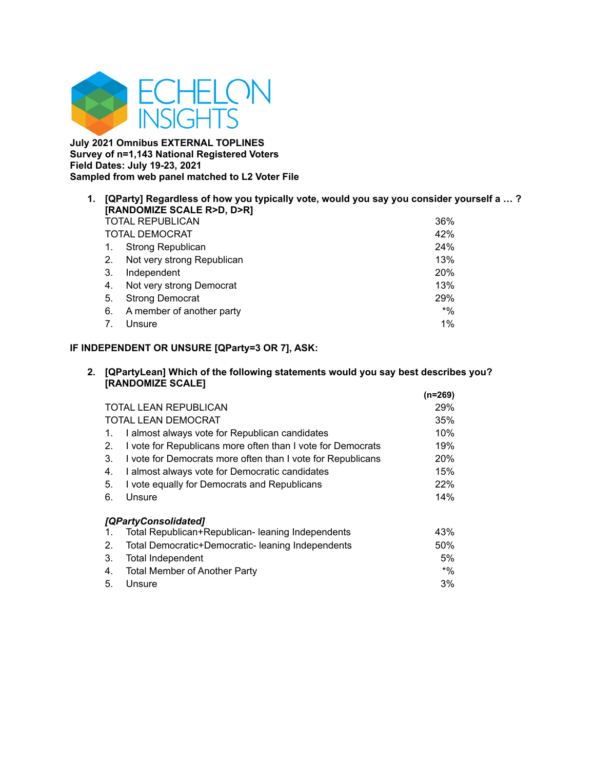

**July 2021 Omnibus EXTERNAL TOPLINES Survey of n=1,143 National Registered Voters Field Dates: July 19-23, 2021 Sampled from web panel matched to L2 Voter File**

| 1. |    | [QParty] Regardless of how you typically vote, would you say you consider yourself a ?<br>[RANDOMIZE SCALE R>D, D>R] |            |  |  |
|----|----|----------------------------------------------------------------------------------------------------------------------|------------|--|--|
|    |    | <b>TOTAL REPUBLICAN</b>                                                                                              | 36%        |  |  |
|    |    | TOTAL DEMOCRAT                                                                                                       | 42%        |  |  |
|    |    | <b>Strong Republican</b>                                                                                             | 24%        |  |  |
|    | 2. | Not very strong Republican                                                                                           | 13%        |  |  |
|    | 3. | Independent                                                                                                          | <b>20%</b> |  |  |
|    | 4. | Not very strong Democrat                                                                                             | 13%        |  |  |
|    | 5. | <b>Strong Democrat</b>                                                                                               | 29%        |  |  |
|    | 6. | A member of another party                                                                                            | $*$ %      |  |  |
|    |    | Unsure                                                                                                               | $1\%$      |  |  |

# **IF INDEPENDENT OR UNSURE [QParty=3 OR 7], ASK:**

## **2. [QPartyLean] Which of the following statements would you say best describes you? [RANDOMIZE SCALE]**

|    |                                                             | $(n=269)$ |
|----|-------------------------------------------------------------|-----------|
|    | <b>TOTAL LEAN REPUBLICAN</b>                                | 29%       |
|    | <b>TOTAL LEAN DEMOCRAT</b>                                  | 35%       |
| 1. | I almost always vote for Republican candidates              | 10%       |
| 2. | I vote for Republicans more often than I vote for Democrats | 19%       |
| 3. | I vote for Democrats more often than I vote for Republicans | 20%       |
| 4. | I almost always vote for Democratic candidates              | 15%       |
| 5. | I vote equally for Democrats and Republicans                | 22%       |
| 6. | Unsure                                                      | 14%       |
|    | [QPartyConsolidated]                                        |           |
| 1. | Total Republican+Republican- leaning Independents           | 43%       |
| 2. | Total Democratic+Democratic- leaning Independents           | 50%       |
| 3. | <b>Total Independent</b>                                    | 5%        |
| 4. | <b>Total Member of Another Party</b>                        | $*$ %     |
| 5. | Unsure                                                      | 3%        |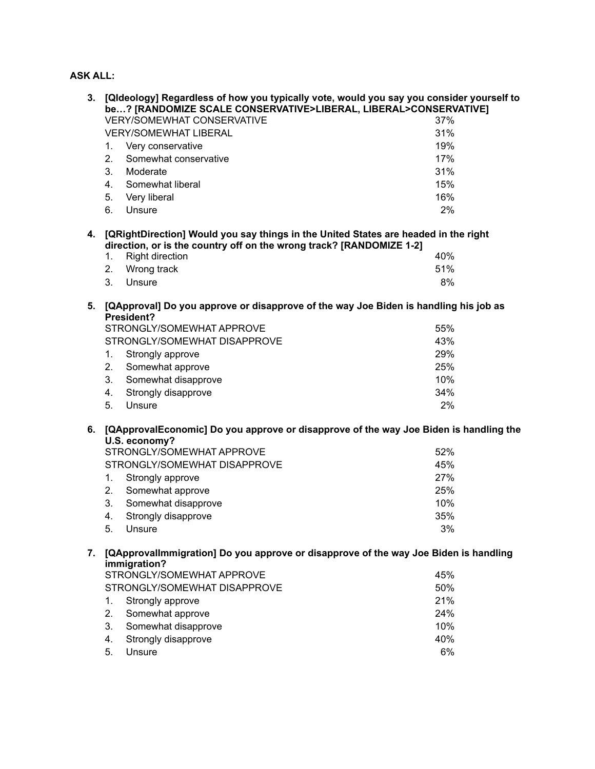# **ASK ALL:**

| 3. | [Qldeology] Regardless of how you typically vote, would you say you consider yourself to<br>be? [RANDOMIZE SCALE CONSERVATIVE>LIBERAL, LIBERAL>CONSERVATIVE] |     |  |  |
|----|--------------------------------------------------------------------------------------------------------------------------------------------------------------|-----|--|--|
|    | <b>VERY/SOMEWHAT CONSERVATIVE</b>                                                                                                                            | 37% |  |  |
|    | <b>VERY/SOMEWHAT LIBERAL</b>                                                                                                                                 | 31% |  |  |
|    | 1.<br>Very conservative                                                                                                                                      | 19% |  |  |
|    | 2.<br>Somewhat conservative                                                                                                                                  | 17% |  |  |
|    | 3.                                                                                                                                                           | 31% |  |  |
|    | Moderate<br>Somewhat liberal                                                                                                                                 | 15% |  |  |
|    | 4.                                                                                                                                                           |     |  |  |
|    | 5.<br>Very liberal                                                                                                                                           | 16% |  |  |
|    | 6.<br>Unsure                                                                                                                                                 | 2%  |  |  |
| 4. | [QRightDirection] Would you say things in the United States are headed in the right<br>direction, or is the country off on the wrong track? [RANDOMIZE 1-2]  |     |  |  |
|    | <b>Right direction</b><br>1.                                                                                                                                 | 40% |  |  |
|    | 2.<br>Wrong track                                                                                                                                            | 51% |  |  |
|    | 3.<br>Unsure                                                                                                                                                 | 8%  |  |  |
| 5. | [QApproval] Do you approve or disapprove of the way Joe Biden is handling his job as                                                                         |     |  |  |
|    | President?<br>STRONGLY/SOMEWHAT APPROVE                                                                                                                      | 55% |  |  |
|    | STRONGLY/SOMEWHAT DISAPPROVE                                                                                                                                 | 43% |  |  |
|    | 1.<br>Strongly approve                                                                                                                                       | 29% |  |  |
|    | 2.<br>Somewhat approve                                                                                                                                       | 25% |  |  |
|    | 3.<br>Somewhat disapprove                                                                                                                                    | 10% |  |  |
|    |                                                                                                                                                              | 34% |  |  |
|    | Strongly disapprove<br>4.<br>5.<br>Unsure                                                                                                                    | 2%  |  |  |
|    |                                                                                                                                                              |     |  |  |
| 6. | [QApprovalEconomic] Do you approve or disapprove of the way Joe Biden is handling the<br>U.S. economy?                                                       |     |  |  |
|    | STRONGLY/SOMEWHAT APPROVE                                                                                                                                    | 52% |  |  |
|    | STRONGLY/SOMEWHAT DISAPPROVE                                                                                                                                 | 45% |  |  |
|    | 1.<br>Strongly approve                                                                                                                                       | 27% |  |  |
|    | 2.<br>Somewhat approve                                                                                                                                       | 25% |  |  |
|    | 3.<br>Somewhat disapprove                                                                                                                                    | 10% |  |  |
|    | Strongly disapprove<br>4.                                                                                                                                    | 35% |  |  |
|    | 5.<br>Unsure                                                                                                                                                 | 3%  |  |  |
| 7. | [QApprovallmmigration] Do you approve or disapprove of the way Joe Biden is handling                                                                         |     |  |  |
|    | immigration?<br>STRONGLY/SOMEWHAT APPROVE                                                                                                                    | 45% |  |  |
|    | STRONGLY/SOMEWHAT DISAPPROVE                                                                                                                                 | 50% |  |  |
|    |                                                                                                                                                              |     |  |  |
|    | 1.<br>Strongly approve                                                                                                                                       | 21% |  |  |
|    | 2.<br>Somewhat approve                                                                                                                                       | 24% |  |  |
|    | 3.<br>Somewhat disapprove                                                                                                                                    | 10% |  |  |
|    | Strongly disapprove<br>4.                                                                                                                                    | 40% |  |  |
|    | Unsure<br>5.                                                                                                                                                 | 6%  |  |  |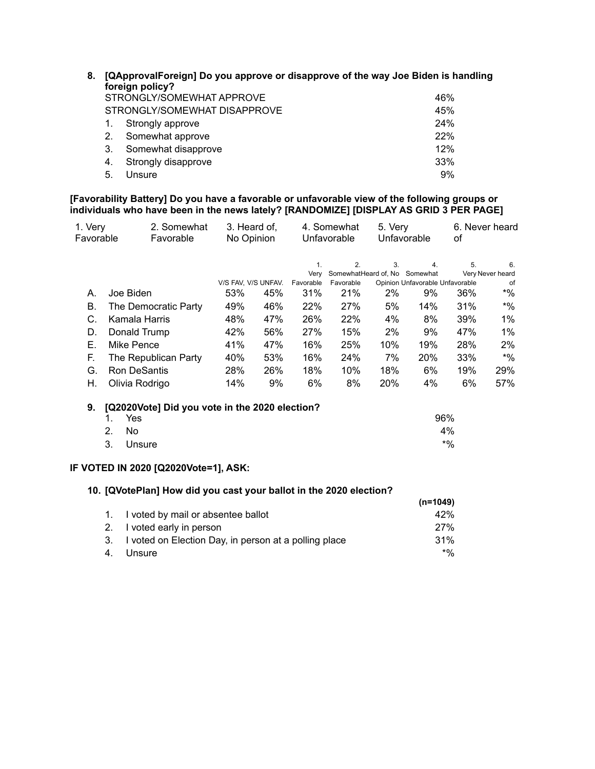| 8. | [QApprovalForeign] Do you approve or disapprove of the way Joe Biden is handling<br>foreign policy? |                              |     |  |  |
|----|-----------------------------------------------------------------------------------------------------|------------------------------|-----|--|--|
|    |                                                                                                     | STRONGLY/SOMEWHAT APPROVE    | 46% |  |  |
|    |                                                                                                     | STRONGLY/SOMEWHAT DISAPPROVE | 45% |  |  |
|    |                                                                                                     | Strongly approve             | 24% |  |  |
|    | 2.                                                                                                  | Somewhat approve             | 22% |  |  |
|    | 3.                                                                                                  | Somewhat disapprove          | 12% |  |  |
|    | 4.                                                                                                  | Strongly disapprove          | 33% |  |  |
|    | 5.                                                                                                  | Unsure                       | 9%  |  |  |

**[Favorability Battery] Do you have a favorable or unfavorable view of the following groups or individuals who have been in the news lately? [RANDOMIZE] [DISPLAY AS GRID 3 PER PAGE]**

| 1. Very<br>Favorable                                                                                       |                                                                                 | 2. Somewhat<br>Favorable                       | 3. Heard of,<br>No Opinion                                           |                                               |                                                                          | 4. Somewhat<br>Unfavorable                                                                        | 5. Very                                        | Unfavorable                                                                        | οf                                                  | 6. Never heard                                                                   |
|------------------------------------------------------------------------------------------------------------|---------------------------------------------------------------------------------|------------------------------------------------|----------------------------------------------------------------------|-----------------------------------------------|--------------------------------------------------------------------------|---------------------------------------------------------------------------------------------------|------------------------------------------------|------------------------------------------------------------------------------------|-----------------------------------------------------|----------------------------------------------------------------------------------|
| А.<br>В.<br>C.<br>D.<br>Ε.<br>F.<br>G.                                                                     | Joe Biden<br>Kamala Harris<br>Donald Trump<br>Mike Pence<br><b>Ron DeSantis</b> | The Democratic Party<br>The Republican Party   | V/S FAV, V/S UNFAV.<br>53%<br>49%<br>48%<br>42%<br>41%<br>40%<br>28% | 45%<br>46%<br>47%<br>56%<br>47%<br>53%<br>26% | 1.<br>Very<br>Favorable<br>31%<br>22%<br>26%<br>27%<br>16%<br>16%<br>18% | 2.<br>SomewhatHeard of, No Somewhat<br>Favorable<br>21%<br>27%<br>22%<br>15%<br>25%<br>24%<br>10% | 3.<br>2%<br>5%<br>4%<br>2%<br>10%<br>7%<br>18% | 4.<br>Opinion Unfavorable Unfavorable<br>9%<br>14%<br>8%<br>9%<br>19%<br>20%<br>6% | 5.<br>36%<br>31%<br>39%<br>47%<br>28%<br>33%<br>19% | 6.<br>Very Never heard<br>of<br>$*$ %<br>$*$ %<br>1%<br>1%<br>2%<br>$*$ %<br>29% |
| Η.                                                                                                         | Olivia Rodrigo                                                                  |                                                | 14%                                                                  | 9%                                            | 6%                                                                       | 8%                                                                                                | 20%                                            | 4%                                                                                 | 6%                                                  | 57%                                                                              |
| 9.                                                                                                         | 1.<br>Yes<br>2.<br>No<br>3.<br>Unsure                                           | [Q2020Vote] Did you vote in the 2020 election? |                                                                      |                                               |                                                                          |                                                                                                   |                                                | 96%                                                                                | 4%<br>$*9/0$                                        |                                                                                  |
| IF VOTED IN 2020 [Q2020Vote=1], ASK:<br>10. [QVotePlan] How did you cast your ballot in the 2020 election? |                                                                                 |                                                |                                                                      |                                               |                                                                          |                                                                                                   |                                                |                                                                                    |                                                     |                                                                                  |

|                                                          | (n=1049) |
|----------------------------------------------------------|----------|
| 1. I voted by mail or absentee ballot                    | 42%      |
| 2. I voted early in person                               | 27%      |
| 3. I voted on Election Day, in person at a polling place | 31%      |
| Unsure                                                   | $*$ %    |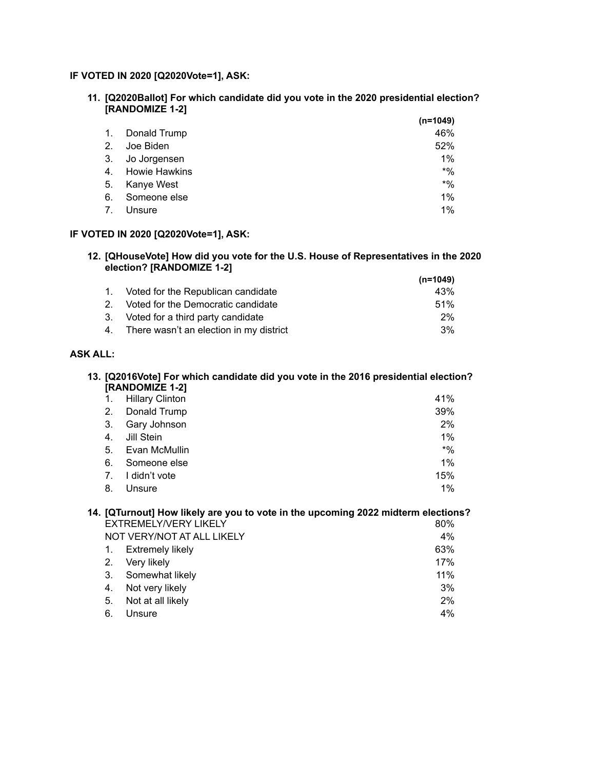# **IF VOTED IN 2020 [Q2020Vote=1], ASK:**

**11. [Q2020Ballot] For which candidate did you vote in the 2020 presidential election? [RANDOMIZE 1-2] (n=1049)**

|                |                      | (n=1049) |
|----------------|----------------------|----------|
| $\mathbf{1}$ . | Donald Trump         | 46%      |
| 2.             | Joe Biden            | 52%      |
| 3.             | Jo Jorgensen         | $1\%$    |
| 4.             | <b>Howie Hawkins</b> | $*$ %    |
| 5.             | Kanye West           | $*$ %    |
| 6.             | Someone else         | $1\%$    |
| 7.             | Unsure               | $1\%$    |

# **IF VOTED IN 2020 [Q2020Vote=1], ASK:**

#### **12. [QHouseVote] How did you vote for the U.S. House of Representatives in the 2020 election? [RANDOMIZE 1-2] (n=1049)**

|                |                                            | (n=1049) |
|----------------|--------------------------------------------|----------|
|                | Voted for the Republican candidate         | 43%      |
| 2 <sup>1</sup> | Voted for the Democratic candidate         | 51%      |
| 3.             | Voted for a third party candidate          | 2%       |
|                | 4. There wasn't an election in my district | 3%       |

# **ASK ALL:**

#### **13. [Q2016Vote] For which candidate did you vote in the 2016 presidential election? [RANDOMIZE 1-2]**

| 2.<br>Donald Trump<br>3.<br>Gary Johnson<br>4.<br>Jill Stein<br>5.<br>Evan McMullin<br>6.<br>Someone else<br>I didn't vote<br>$7_{\cdot}$ | $\mathbf{1}$ . | <b>Hillary Clinton</b> | 41%   |
|-------------------------------------------------------------------------------------------------------------------------------------------|----------------|------------------------|-------|
|                                                                                                                                           |                |                        | 39%   |
|                                                                                                                                           |                |                        | 2%    |
|                                                                                                                                           |                |                        | 1%    |
|                                                                                                                                           |                |                        | $*$ % |
|                                                                                                                                           |                |                        | 1%    |
|                                                                                                                                           |                |                        | 15%   |
|                                                                                                                                           | 8.             | Unsure                 | $1\%$ |

### **14. [QTurnout] How likely are you to vote in the upcoming 2022 midterm elections? EXTREMELY/VERY LIKELY** NOT VERY/NOT AT ALL LIKELY 4%

|    | 1. Extremely likely  | 63%   |
|----|----------------------|-------|
|    | 2. Very likely       | 17%   |
|    | 3. Somewhat likely   | 11%   |
|    | 4. Not very likely   | 3%    |
|    | 5. Not at all likely | 2%    |
| 6. | Unsure               | $4\%$ |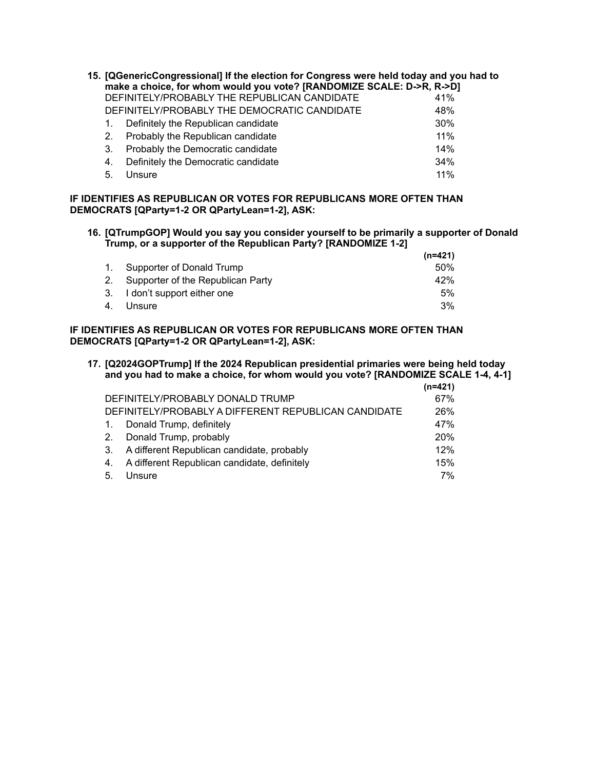| 15. [QGenericCongressional] If the election for Congress were held today and you had to<br>make a choice, for whom would you vote? [RANDOMIZE SCALE: D->R, R->D] |                                              |     |  |
|------------------------------------------------------------------------------------------------------------------------------------------------------------------|----------------------------------------------|-----|--|
|                                                                                                                                                                  | DEFINITELY/PROBABLY THE REPUBLICAN CANDIDATE | 41% |  |
|                                                                                                                                                                  | DEFINITELY/PROBABLY THE DEMOCRATIC CANDIDATE | 48% |  |
|                                                                                                                                                                  | Definitely the Republican candidate          | 30% |  |
| 2.                                                                                                                                                               | Probably the Republican candidate            | 11% |  |
| 3.                                                                                                                                                               | Probably the Democratic candidate            | 14% |  |
| 4.                                                                                                                                                               | Definitely the Democratic candidate          | 34% |  |
| 5.                                                                                                                                                               | Unsure                                       | 11% |  |

## **IF IDENTIFIES AS REPUBLICAN OR VOTES FOR REPUBLICANS MORE OFTEN THAN DEMOCRATS [QParty=1-2 OR QPartyLean=1-2], ASK:**

## **16. [QTrumpGOP] Would you say you consider yourself to be primarily a supporter of Donald Trump, or a supporter of the Republican Party? [RANDOMIZE 1-2]**

|    |                                      | $(n=421)$ |
|----|--------------------------------------|-----------|
|    | 1. Supporter of Donald Trump         | .50%      |
|    | 2. Supporter of the Republican Party | 42%       |
|    | 3. I don't support either one        | 5%        |
| 4. | Unsure                               | 3%        |

# **IF IDENTIFIES AS REPUBLICAN OR VOTES FOR REPUBLICANS MORE OFTEN THAN DEMOCRATS [QParty=1-2 OR QPartyLean=1-2], ASK:**

**17. [Q2024GOPTrump] If the 2024 Republican presidential primaries were being held today and you had to make a choice, for whom would you vote? [RANDOMIZE SCALE 1-4, 4-1]**  $(12 - 404)$ 

|    |                                                      | $(n=421)$ |
|----|------------------------------------------------------|-----------|
|    | DEFINITELY/PROBABLY DONALD TRUMP                     | 67%       |
|    | DEFINITELY/PROBABLY A DIFFERENT REPUBLICAN CANDIDATE | 26%       |
| 1. | Donald Trump, definitely                             | 47%       |
| 2. | Donald Trump, probably                               | 20%       |
| 3. | A different Republican candidate, probably           | 12%       |
| 4. | A different Republican candidate, definitely         | 15%       |
| 5. | Unsure                                               | 7%        |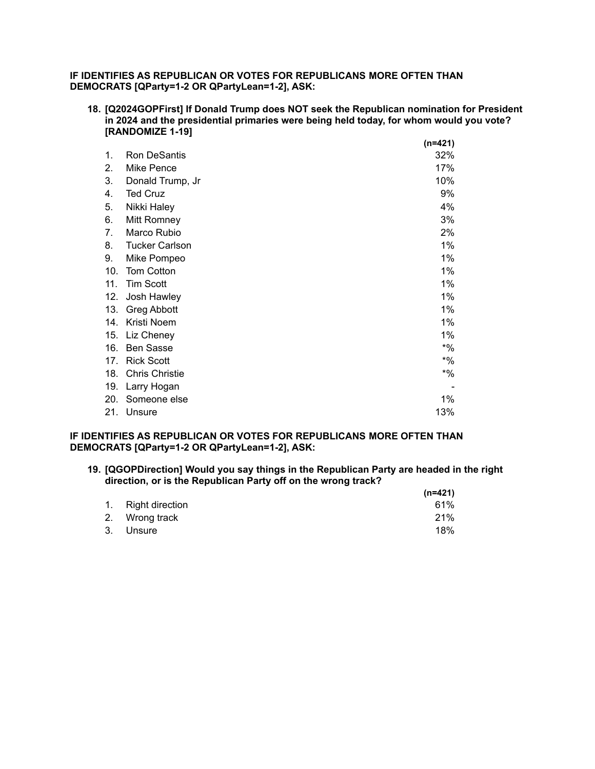# **IF IDENTIFIES AS REPUBLICAN OR VOTES FOR REPUBLICANS MORE OFTEN THAN DEMOCRATS [QParty=1-2 OR QPartyLean=1-2], ASK:**

**18. [Q2024GOPFirst] If Donald Trump does NOT seek the Republican nomination for President in 2024 and the presidential primaries were being held today, for whom would you vote? [RANDOMIZE 1-19]**

|     |                       | $(n=421)$ |
|-----|-----------------------|-----------|
| 1.  | Ron DeSantis          | 32%       |
| 2.  | Mike Pence            | 17%       |
| 3.  | Donald Trump, Jr      | 10%       |
| 4.  | <b>Ted Cruz</b>       | 9%        |
| 5.  | Nikki Haley           | 4%        |
| 6.  | Mitt Romney           | 3%        |
| 7.  | Marco Rubio           | 2%        |
| 8.  | <b>Tucker Carlson</b> | 1%        |
| 9.  | Mike Pompeo           | 1%        |
| 10. | Tom Cotton            | 1%        |
| 11. | <b>Tim Scott</b>      | 1%        |
| 12. | Josh Hawley           | $1\%$     |
| 13. | <b>Greg Abbott</b>    | 1%        |
| 14. | Kristi Noem           | 1%        |
| 15. | Liz Cheney            | 1%        |
| 16. | <b>Ben Sasse</b>      | $*$ %     |
| 17. | <b>Rick Scott</b>     | $*9/6$    |
| 18. | <b>Chris Christie</b> | $*9/6$    |
| 19. | Larry Hogan           |           |
| 20. | Someone else          | 1%        |
| 21. | Unsure                | 13%       |

**IF IDENTIFIES AS REPUBLICAN OR VOTES FOR REPUBLICANS MORE OFTEN THAN DEMOCRATS [QParty=1-2 OR QPartyLean=1-2], ASK:**

**19. [QGOPDirection] Would you say things in the Republican Party are headed in the right direction, or is the Republican Party off on the wrong track?**

|                    | $(n=421)$ |
|--------------------|-----------|
| 1. Right direction | 61%       |
| 2. Wrong track     | 21%       |
| 3. Unsure          | 18%       |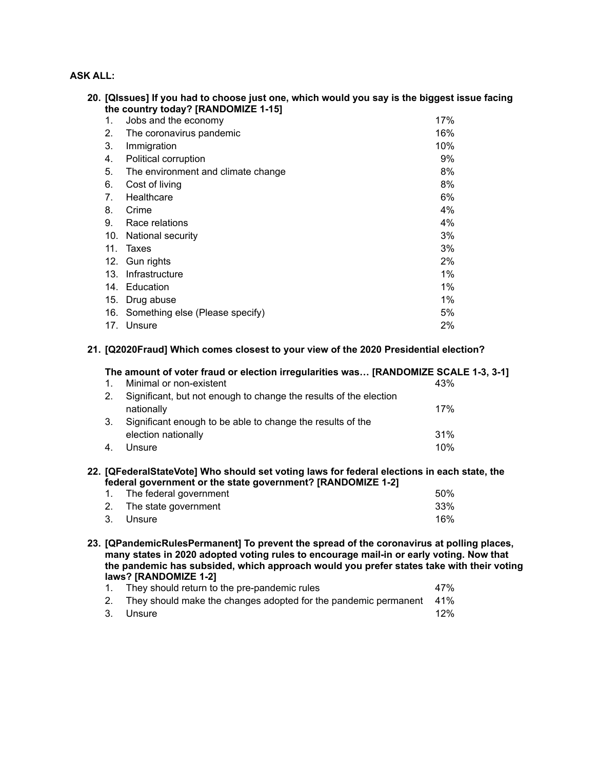# **ASK ALL:**

|     | 20. [QIssues] If you had to choose just one, which would you say is the biggest issue facing<br>the country today? [RANDOMIZE 1-15] |     |
|-----|-------------------------------------------------------------------------------------------------------------------------------------|-----|
| 1.  | Jobs and the economy                                                                                                                | 17% |
| 2.  | The coronavirus pandemic                                                                                                            | 16% |
| 3.  | Immigration                                                                                                                         | 10% |
| 4.  | Political corruption                                                                                                                | 9%  |
| 5.  | The environment and climate change                                                                                                  | 8%  |
| 6.  | Cost of living                                                                                                                      | 8%  |
| 7.  | Healthcare                                                                                                                          | 6%  |
| 8.  | Crime                                                                                                                               | 4%  |
| 9.  | Race relations                                                                                                                      | 4%  |
| 10. | National security                                                                                                                   | 3%  |
| 11. | Taxes                                                                                                                               | 3%  |
| 12. | Gun rights                                                                                                                          | 2%  |
| 13. | Infrastructure                                                                                                                      | 1%  |
| 14. | Education                                                                                                                           | 1%  |
| 15. | Drug abuse                                                                                                                          | 1%  |
| 16. | Something else (Please specify)                                                                                                     | 5%  |
| 17. | Unsure                                                                                                                              | 2%  |

# **21. [Q2020Fraud] Which comes closest to your view of the 2020 Presidential election?**

|    | The amount of voter fraud or election irregularities was [RANDOMIZE SCALE 1-3, 3-1] |     |
|----|-------------------------------------------------------------------------------------|-----|
|    | Minimal or non-existent                                                             | 43% |
| 2. | Significant, but not enough to change the results of the election                   |     |
|    | nationally                                                                          | 17% |
| 3. | Significant enough to be able to change the results of the                          |     |
|    | election nationally                                                                 | 31% |
| 4  | Unsure                                                                              | 10% |
|    |                                                                                     |     |

### **22. [QFederalStateVote] Who should set voting laws for federal elections in each state, the federal government or the state government? [RANDOMIZE 1-2]**

| 1. The federal government | 50% |
|---------------------------|-----|
| 2. The state government   | 33% |
| 3. Unsure                 | 16% |

**23. [QPandemicRulesPermanent] To prevent the spread of the coronavirus at polling places, many states in 2020 adopted voting rules to encourage mail-in or early voting. Now that the pandemic has subsided, which approach would you prefer states take with their voting laws? [RANDOMIZE 1-2]**

| 1. They should return to the pre-pandemic rules                        | 47% |
|------------------------------------------------------------------------|-----|
| 2. They should make the changes adopted for the pandemic permanent 41% |     |
| 3. Unsure                                                              | 12% |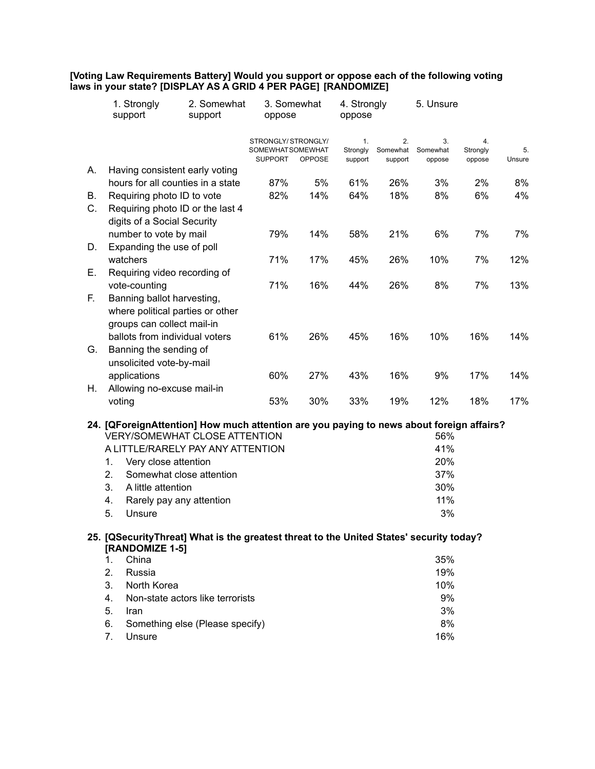|    | 1. Strongly<br>support           | 2. Somewhat<br>support                                                                   | 3. Somewhat<br>4. Strongly<br>oppose<br>oppose           |               |                           |                           | 5. Unsure                |                          |              |  |
|----|----------------------------------|------------------------------------------------------------------------------------------|----------------------------------------------------------|---------------|---------------------------|---------------------------|--------------------------|--------------------------|--------------|--|
|    |                                  |                                                                                          | STRONGLY/STRONGLY/<br>SOMEWHATSOMEWHAT<br><b>SUPPORT</b> | <b>OPPOSE</b> | 1.<br>Strongly<br>support | 2.<br>Somewhat<br>support | 3.<br>Somewhat<br>oppose | 4.<br>Strongly<br>oppose | 5.<br>Unsure |  |
| А. | Having consistent early voting   |                                                                                          |                                                          |               |                           |                           |                          |                          |              |  |
|    |                                  | hours for all counties in a state                                                        | 87%                                                      | 5%            | 61%                       | 26%                       | 3%                       | 2%                       | 8%           |  |
| В. | Requiring photo ID to vote       |                                                                                          | 82%                                                      | 14%           | 64%                       | 18%                       | 8%                       | 6%                       | 4%           |  |
| C. |                                  | Requiring photo ID or the last 4                                                         |                                                          |               |                           |                           |                          |                          |              |  |
|    | digits of a Social Security      |                                                                                          |                                                          |               |                           |                           |                          |                          |              |  |
|    | number to vote by mail           |                                                                                          | 79%                                                      | 14%           | 58%                       | 21%                       | 6%                       | 7%                       | 7%           |  |
| D. | Expanding the use of poll        |                                                                                          |                                                          |               |                           |                           |                          |                          |              |  |
|    | watchers                         |                                                                                          | 71%                                                      | 17%           | 45%                       | 26%                       | 10%                      | 7%                       | 12%          |  |
| Е. | Requiring video recording of     |                                                                                          |                                                          |               |                           |                           |                          |                          |              |  |
|    | vote-counting                    |                                                                                          | 71%                                                      | 16%           | 44%                       | 26%                       | 8%                       | 7%                       | 13%          |  |
| F. | Banning ballot harvesting,       |                                                                                          |                                                          |               |                           |                           |                          |                          |              |  |
|    | where political parties or other |                                                                                          |                                                          |               |                           |                           |                          |                          |              |  |
|    | groups can collect mail-in       |                                                                                          |                                                          |               |                           |                           |                          |                          |              |  |
|    | ballots from individual voters   |                                                                                          | 61%                                                      | 26%           | 45%                       | 16%                       | 10%                      | 16%                      | 14%          |  |
| G. | Banning the sending of           |                                                                                          |                                                          |               |                           |                           |                          |                          |              |  |
|    | unsolicited vote-by-mail         |                                                                                          |                                                          |               |                           |                           |                          |                          |              |  |
|    | applications                     |                                                                                          | 60%                                                      | 27%           | 43%                       | 16%                       | 9%                       | 17%                      | 14%          |  |
| Η. | Allowing no-excuse mail-in       |                                                                                          |                                                          |               |                           |                           |                          |                          |              |  |
|    | voting                           |                                                                                          | 53%                                                      | 30%           | 33%                       | 19%                       | 12%                      | 18%                      | 17%          |  |
|    |                                  | 24. [QForeignAttention] How much attention are you paying to news about foreign affairs? |                                                          |               |                           |                           |                          |                          |              |  |
|    |                                  | <b>VERY/SOMEWHAT CLOSE ATTENTION</b>                                                     |                                                          |               |                           |                           | 56%                      |                          |              |  |
|    |                                  | A LITTLE/RARELY PAY ANY ATTENTION                                                        |                                                          |               |                           |                           | 41%                      |                          |              |  |
|    | 1.<br>Very close attention       |                                                                                          |                                                          |               |                           |                           | 20%                      |                          |              |  |
|    | 2.                               | Somewhat close attention                                                                 |                                                          |               |                           |                           | 37%                      |                          |              |  |
|    | 3.<br>A little attention         |                                                                                          |                                                          |               |                           |                           | 30%                      |                          |              |  |
|    | 4.                               | Rarely pay any attention                                                                 |                                                          |               |                           |                           | 11%                      |                          |              |  |
|    | 5.<br>Unsure                     |                                                                                          |                                                          |               |                           |                           | 3%                       |                          |              |  |
|    |                                  |                                                                                          |                                                          |               |                           |                           |                          |                          |              |  |
|    | [RANDOMIZE 1-5]                  | 25. [QSecurityThreat] What is the greatest threat to the United States' security today?  |                                                          |               |                           |                           |                          |                          |              |  |
|    | China<br>1.                      |                                                                                          |                                                          |               |                           |                           | 35%                      |                          |              |  |
|    | 2.<br>Russia                     |                                                                                          |                                                          |               |                           |                           | 19%                      |                          |              |  |
|    | 3.<br>North Korea                |                                                                                          |                                                          |               |                           |                           | 10%                      |                          |              |  |
|    | 4.                               | Non-state actors like terrorists                                                         |                                                          |               |                           |                           | 9%                       |                          |              |  |
|    | 5.<br>Iran                       |                                                                                          |                                                          |               |                           |                           | 3%                       |                          |              |  |
|    | 6.                               | Something else (Please specify)                                                          |                                                          |               |                           |                           | 8%                       |                          |              |  |
|    | 7.<br>Unsure                     |                                                                                          |                                                          |               |                           |                           | 16%                      |                          |              |  |

**[Voting Law Requirements Battery] Would you support or oppose each of the following voting laws in your state? [DISPLAY AS A GRID 4 PER PAGE] [RANDOMIZE]**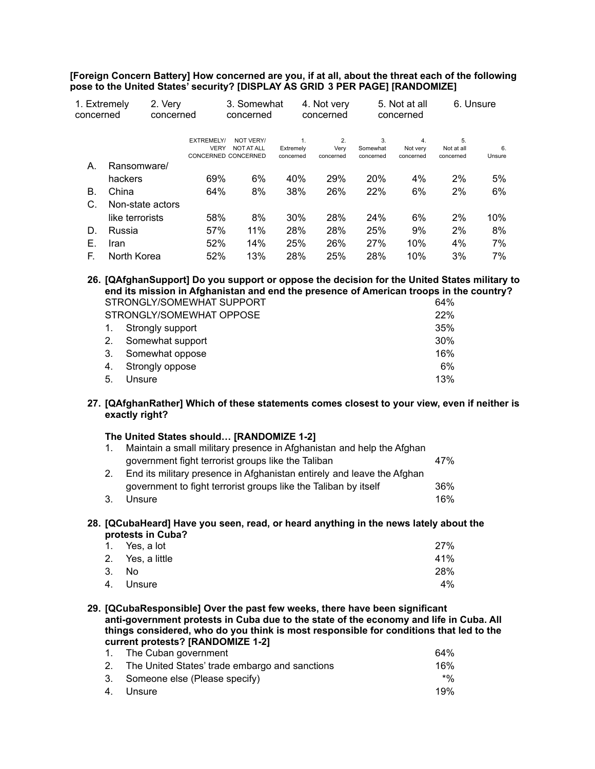**[Foreign Concern Battery] How concerned are you, if at all, about the threat each of the following pose to the United States' security? [DISPLAY AS GRID 3 PER PAGE] [RANDOMIZE]**

| 1. Extremely<br>concerned | 2. Very          | concerned                        | 3. Somewhat<br>concerned       |           | 4. Not very<br>concerned |                | 5. Not at all<br>concerned | 6. Unsure        |        |
|---------------------------|------------------|----------------------------------|--------------------------------|-----------|--------------------------|----------------|----------------------------|------------------|--------|
|                           |                  | <b>EXTREMELY/</b><br><b>VERY</b> | NOT VERY/<br><b>NOT AT ALL</b> | Extremely | 2.<br>Very               | 3.<br>Somewhat | 4.<br>Not very             | 5.<br>Not at all | 6.     |
| А.                        | Ransomware/      |                                  | CONCERNED CONCERNED            | concerned | concerned                | concerned      | concerned                  | concerned        | Unsure |
|                           | hackers          | 69%                              | 6%                             | 40%       | 29%                      | 20%            | 4%                         | 2%               | 5%     |
| В.                        | China            | 64%                              | 8%                             | 38%       | 26%                      | 22%            | 6%                         | 2%               | 6%     |
| C.                        | Non-state actors |                                  |                                |           |                          |                |                            |                  |        |
|                           | like terrorists  | 58%                              | 8%                             | 30%       | 28%                      | 24%            | 6%                         | 2%               | 10%    |
| D.                        | Russia           | 57%                              | 11%                            | 28%       | 28%                      | 25%            | 9%                         | 2%               | 8%     |
| Е.                        | <b>Iran</b>      | 52%                              | 14%                            | 25%       | 26%                      | 27%            | 10%                        | 4%               | 7%     |
| F.                        | North Korea      | 52%                              | 13%                            | 28%       | 25%                      | 28%            | 10%                        | 3%               | 7%     |

**26. [QAfghanSupport] Do you support or oppose the decision for the United States military to end its mission in Afghanistan and end the presence of American troops in the country?** STRONGLY/SOMEWHAT SUPPORT **CONSUMING THE SET AND SET ALCOHOLY 64%** STRONGLY/SOMEWHAT OPPOSE 22% 1. Strongly support 35% 2. Somewhat support 30% 3. Somewhat oppose 16%

| <b>b.</b> Connewirgt oppose | 1 V 7 V |
|-----------------------------|---------|
| 4. Strongly oppose          | 6%      |
| 5. Unsure                   | 13%     |

**27. [QAfghanRather] Which of these statements comes closest to your view, even if neither is exactly right?**

|  |  |  |  | The United States should [RANDOMIZE 1-2] |  |
|--|--|--|--|------------------------------------------|--|
|--|--|--|--|------------------------------------------|--|

|                | Maintain a small military presence in Afghanistan and help the Afghan  |     |
|----------------|------------------------------------------------------------------------|-----|
|                | government fight terrorist groups like the Taliban                     | 47% |
| 2 <sub>1</sub> | End its military presence in Afghanistan entirely and leave the Afghan |     |
|                | government to fight terrorist groups like the Taliban by itself        | 36% |
| 3.             | Unsure                                                                 | 16% |

**28. [QCubaHeard] Have you seen, read, or heard anything in the news lately about the protests in Cuba?**

| 1. Yes, a lot    | 27% |
|------------------|-----|
| 2. Yes, a little | 41% |
| 3. No.           | 28% |
| 4. Unsure        | 4%  |
|                  |     |

**29. [QCubaResponsible] Over the past few weeks, there have been significant anti-government protests in Cuba due to the state of the economy and life in Cuba. All things considered, who do you think is most responsible for conditions that led to the current protests? [RANDOMIZE 1-2]**

| 1. The Cuban government                           | 64%   |
|---------------------------------------------------|-------|
| 2. The United States' trade embargo and sanctions | 16%   |
| 3. Someone else (Please specify)                  | $*$ % |
| 4. Unsure                                         | 19%   |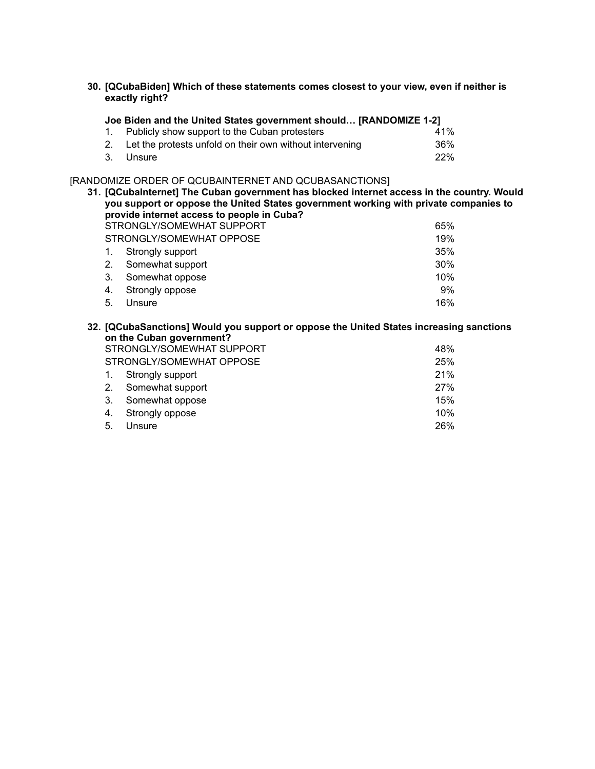**30. [QCubaBiden] Which of these statements comes closest to your view, even if neither is exactly right?**

| Joe Biden and the United States government should [RANDOMIZE 1-2] |     |  |  |  |
|-------------------------------------------------------------------|-----|--|--|--|
| 1. Publicly show support to the Cuban protesters                  | 41% |  |  |  |
| 2. Let the protests unfold on their own without intervening       | 36% |  |  |  |
| 3. Unsure                                                         | 22% |  |  |  |

# [RANDOMIZE ORDER OF QCUBAINTERNET AND QCUBASANCTIONS]

|                                  | 31. [QCubalnternet] The Cuban government has blocked internet access in the country. Would<br>you support or oppose the United States government working with private companies to<br>provide internet access to people in Cuba? |                                                                                         |        |  |  |
|----------------------------------|----------------------------------------------------------------------------------------------------------------------------------------------------------------------------------------------------------------------------------|-----------------------------------------------------------------------------------------|--------|--|--|
| STRONGLY/SOMEWHAT SUPPORT<br>65% |                                                                                                                                                                                                                                  |                                                                                         |        |  |  |
|                                  |                                                                                                                                                                                                                                  | STRONGLY/SOMEWHAT OPPOSE                                                                | 19%    |  |  |
|                                  | 1.                                                                                                                                                                                                                               | Strongly support                                                                        | 35%    |  |  |
|                                  | 2.                                                                                                                                                                                                                               | Somewhat support                                                                        | 30%    |  |  |
|                                  | 3.                                                                                                                                                                                                                               | Somewhat oppose                                                                         | $10\%$ |  |  |
|                                  | 4.                                                                                                                                                                                                                               | Strongly oppose                                                                         | 9%     |  |  |
|                                  | 5.                                                                                                                                                                                                                               | Unsure                                                                                  | 16%    |  |  |
|                                  |                                                                                                                                                                                                                                  | 32. [QCubaSanctions] Would you support or oppose the United States increasing sanctions |        |  |  |
|                                  |                                                                                                                                                                                                                                  | on the Cuban government?<br>STRONGLY/SOMEWHAT SUPPORT                                   | 48%    |  |  |
|                                  |                                                                                                                                                                                                                                  | STRONGLY/SOMEWHAT OPPOSE                                                                | 25%    |  |  |
|                                  | 1.                                                                                                                                                                                                                               | Strongly support                                                                        | 21%    |  |  |
|                                  | 2.                                                                                                                                                                                                                               | Somewhat support                                                                        | 27%    |  |  |
|                                  | 3.                                                                                                                                                                                                                               | Somewhat oppose                                                                         | 15%    |  |  |
|                                  | 4.                                                                                                                                                                                                                               | Strongly oppose                                                                         | 10%    |  |  |

5. Unsure 26%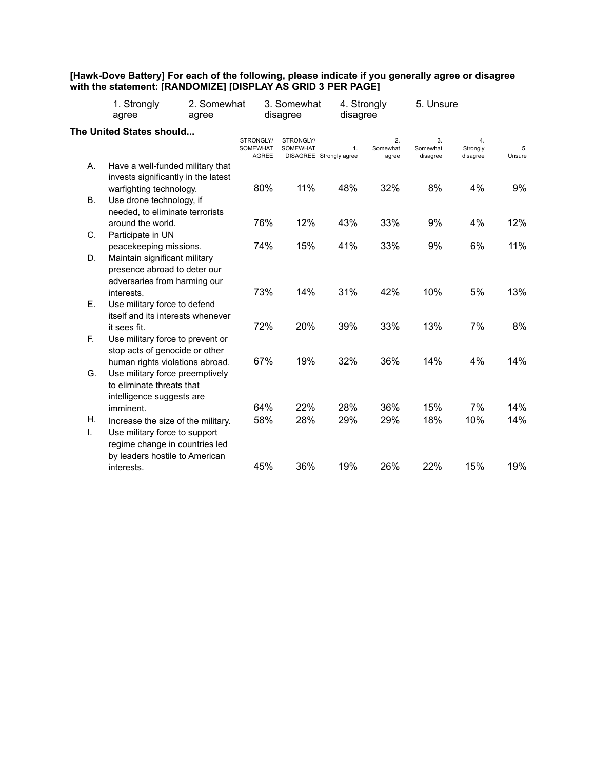#### **[Hawk-Dove Battery] For each of the following, please indicate if you generally agree or disagree with the statement: [RANDOMIZE] [DISPLAY AS GRID 3 PER PAGE]**

|          | 1. Strongly<br>agree                                                                                                                    | 2. Somewhat<br>agree         |              | 3. Somewhat<br>disagree      | disagree                      | 4. Strongly             | 5. Unsure                  |                            |              |
|----------|-----------------------------------------------------------------------------------------------------------------------------------------|------------------------------|--------------|------------------------------|-------------------------------|-------------------------|----------------------------|----------------------------|--------------|
|          | The United States should                                                                                                                | STRONGLY/<br><b>SOMEWHAT</b> | <b>AGREE</b> | STRONGLY/<br><b>SOMEWHAT</b> | 1.<br>DISAGREE Strongly agree | 2.<br>Somewhat<br>agree | 3.<br>Somewhat<br>disagree | 4.<br>Strongly<br>disagree | 5.<br>Unsure |
| А.       | Have a well-funded military that<br>invests significantly in the latest                                                                 |                              |              |                              |                               |                         |                            |                            |              |
| В.       | warfighting technology.<br>Use drone technology, if<br>needed, to eliminate terrorists                                                  |                              | 80%          | 11%                          | 48%                           | 32%                     | 8%                         | 4%                         | 9%           |
|          | around the world.                                                                                                                       |                              | 76%          | 12%                          | 43%                           | 33%                     | 9%                         | 4%                         | 12%          |
| C.       | Participate in UN<br>peacekeeping missions.                                                                                             |                              | 74%          | 15%                          | 41%                           | 33%                     | 9%                         | 6%                         | 11%          |
| D.       | Maintain significant military<br>presence abroad to deter our<br>adversaries from harming our                                           |                              |              |                              |                               |                         |                            |                            |              |
| Е.       | interests.<br>Use military force to defend<br>itself and its interests whenever                                                         |                              | 73%          | 14%                          | 31%                           | 42%                     | 10%                        | 5%                         | 13%          |
| F.       | it sees fit.<br>Use military force to prevent or<br>stop acts of genocide or other                                                      |                              | 72%          | 20%                          | 39%                           | 33%                     | 13%                        | 7%                         | 8%           |
| G.       | human rights violations abroad.<br>Use military force preemptively<br>to eliminate threats that<br>intelligence suggests are            |                              | 67%          | 19%                          | 32%                           | 36%                     | 14%                        | 4%                         | 14%          |
|          | imminent.                                                                                                                               |                              | 64%          | 22%                          | 28%                           | 36%                     | 15%                        | 7%                         | 14%          |
| Η.<br>T. | Increase the size of the military.<br>Use military force to support<br>regime change in countries led<br>by leaders hostile to American |                              | 58%          | 28%                          | 29%                           | 29%                     | 18%                        | 10%                        | 14%          |
|          | interests.                                                                                                                              |                              | 45%          | 36%                          | 19%                           | 26%                     | 22%                        | 15%                        | 19%          |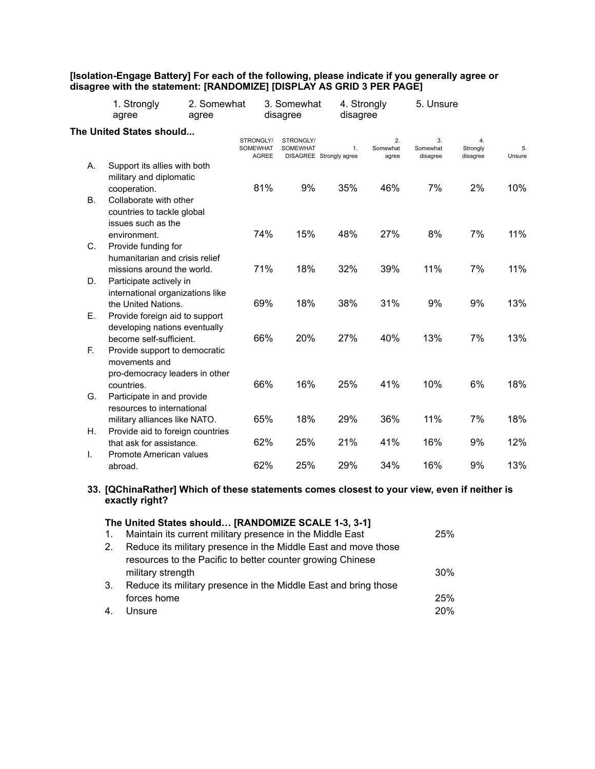#### **[Isolation-Engage Battery] For each of the following, please indicate if you generally agree or disagree with the statement: [RANDOMIZE] [DISPLAY AS GRID 3 PER PAGE]**

|           | 2. Somewhat<br>1. Strongly<br>agree<br>agree                                               |                                              | 3. Somewhat<br>disagree      | disagree                      | 4. Strongly             | 5. Unsure                  |                            |              |
|-----------|--------------------------------------------------------------------------------------------|----------------------------------------------|------------------------------|-------------------------------|-------------------------|----------------------------|----------------------------|--------------|
|           | The United States should                                                                   | STRONGLY/<br><b>SOMEWHAT</b><br><b>AGREE</b> | STRONGLY/<br><b>SOMEWHAT</b> | 1.<br>DISAGREE Strongly agree | 2.<br>Somewhat<br>agree | 3.<br>Somewhat<br>disagree | 4.<br>Strongly<br>disagree | 5.<br>Unsure |
| А.        | Support its allies with both<br>military and diplomatic                                    |                                              |                              |                               |                         |                            |                            |              |
| <b>B.</b> | cooperation.<br>Collaborate with other<br>countries to tackle global<br>issues such as the | 81%                                          | 9%                           | 35%                           | 46%                     | 7%                         | 2%                         | 10%          |
|           | environment.                                                                               | 74%                                          | 15%                          | 48%                           | 27%                     | 8%                         | 7%                         | 11%          |
| C.        | Provide funding for<br>humanitarian and crisis relief<br>missions around the world.        | 71%                                          | 18%                          | 32%                           | 39%                     | 11%                        | 7%                         | 11%          |
| D.        | Participate actively in<br>international organizations like                                |                                              |                              |                               |                         |                            |                            |              |
| Е.        | the United Nations.<br>Provide foreign aid to support                                      | 69%                                          | 18%                          | 38%                           | 31%                     | 9%                         | 9%                         | 13%          |
|           | developing nations eventually<br>become self-sufficient.                                   | 66%                                          | 20%                          | 27%                           | 40%                     | 13%                        | 7%                         | 13%          |
| F.        | Provide support to democratic<br>movements and<br>pro-democracy leaders in other           |                                              |                              |                               |                         |                            |                            |              |
| G.        | countries.<br>Participate in and provide<br>resources to international                     | 66%                                          | 16%                          | 25%                           | 41%                     | 10%                        | 6%                         | 18%          |
|           | military alliances like NATO.                                                              | 65%                                          | 18%                          | 29%                           | 36%                     | 11%                        | 7%                         | 18%          |
| Η.        | Provide aid to foreign countries<br>that ask for assistance.                               | 62%                                          | 25%                          | 21%                           | 41%                     | 16%                        | 9%                         | 12%          |
| Τ.        | Promote American values<br>abroad.                                                         | 62%                                          | 25%                          | 29%                           | 34%                     | 16%                        | 9%                         | 13%          |

## **33. [QChinaRather] Which of these statements comes closest to your view, even if neither is exactly right?**

|                | The United States should [RANDOMIZE SCALE 1-3, 3-1]             |     |
|----------------|-----------------------------------------------------------------|-----|
| $\mathbf{1}$ . | Maintain its current military presence in the Middle East       | 25% |
| 2 <sub>1</sub> | Reduce its military presence in the Middle East and move those  |     |
|                | resources to the Pacific to better counter growing Chinese      |     |
|                | military strength                                               | 30% |
| 3.             | Reduce its military presence in the Middle East and bring those |     |
|                | forces home                                                     | 25% |
| 4.             | Unsure                                                          | 20% |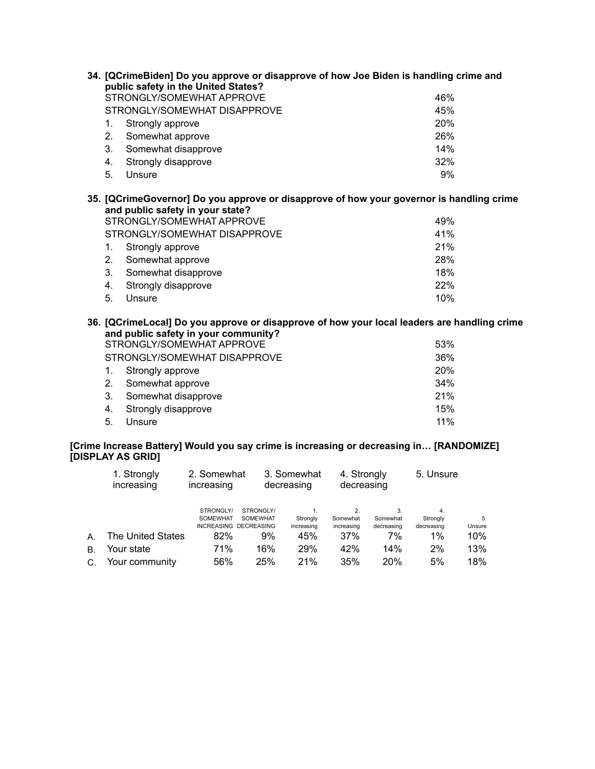| 34. [QCrimeBiden] Do you approve or disapprove of how Joe Biden is handling crime and |                                                                                                                                       |                                                                                                                      |  |  |
|---------------------------------------------------------------------------------------|---------------------------------------------------------------------------------------------------------------------------------------|----------------------------------------------------------------------------------------------------------------------|--|--|
|                                                                                       | public safety in the United States?<br>STRONGLY/SOMEWHAT APPROVE                                                                      | 46%                                                                                                                  |  |  |
|                                                                                       | STRONGLY/SOMEWHAT DISAPPROVE                                                                                                          | 45%                                                                                                                  |  |  |
| 1.                                                                                    | Strongly approve                                                                                                                      | 20%                                                                                                                  |  |  |
| 2.                                                                                    | Somewhat approve                                                                                                                      | 26%                                                                                                                  |  |  |
| 3.                                                                                    | Somewhat disapprove                                                                                                                   | 14%                                                                                                                  |  |  |
| 4.                                                                                    | Strongly disapprove                                                                                                                   | 32%                                                                                                                  |  |  |
| 5.                                                                                    | Unsure                                                                                                                                | 9%                                                                                                                   |  |  |
| 1.<br>2.                                                                              | and public safety in your state?<br>STRONGLY/SOMEWHAT APPROVE<br>STRONGLY/SOMEWHAT DISAPPROVE<br>Strongly approve<br>Somewhat approve | 35. [QCrimeGovernor] Do you approve or disapprove of how your governor is handling crime<br>49%<br>41%<br>21%<br>28% |  |  |
| 3.                                                                                    | Somewhat disapprove                                                                                                                   | 18%                                                                                                                  |  |  |
| 4.                                                                                    | Strongly disapprove                                                                                                                   | 22%                                                                                                                  |  |  |
| 5.                                                                                    | Unsure                                                                                                                                | 10%                                                                                                                  |  |  |
|                                                                                       | and public safety in your community?<br>STRONGLY/SOMEWHAT APPROVE                                                                     | 36. [QCrimeLocal] Do you approve or disapprove of how your local leaders are handling crime<br>53%                   |  |  |
|                                                                                       |                                                                                                                                       |                                                                                                                      |  |  |

STRONGLY/SOMEWHAT DISAPPROVE 36% 1. Strongly approve 20% 2. Somewhat approve 34% 3. Somewhat disapprove 21% 4. Strongly disapprove 15%

5. Unsure 11%

# **[Crime Increase Battery] Would you say crime is increasing or decreasing in… [RANDOMIZE] [DISPLAY AS GRID]**

|    | 1. Strongly<br>increasing | 2. Somewhat<br>increasing    |                                                              | 3. Somewhat<br>decreasing    |                        | 4. Strongly<br>decreasing    |                              | 5. Unsure    |
|----|---------------------------|------------------------------|--------------------------------------------------------------|------------------------------|------------------------|------------------------------|------------------------------|--------------|
|    |                           | STRONGLY/<br><b>SOMEWHAT</b> | STRONGLY/<br><b>SOMEWHAT</b><br><b>INCREASING DECREASING</b> | 1.<br>Strongly<br>increasing | Somewhat<br>increasing | 3.<br>Somewhat<br>decreasing | 4.<br>Strongly<br>decreasing | 5.<br>Unsure |
| A. | The United States         | 82%                          | 9%                                                           | 45%                          | 37%                    | 7%                           | $1\%$                        | $10\%$       |
| В. | Your state                | 71%                          | 16%                                                          | 29%                          | 42%                    | 14%                          | 2%                           | 13%          |
| C. | Your community            | 56%                          | 25%                                                          | 21%                          | 35%                    | 20%                          | 5%                           | 18%          |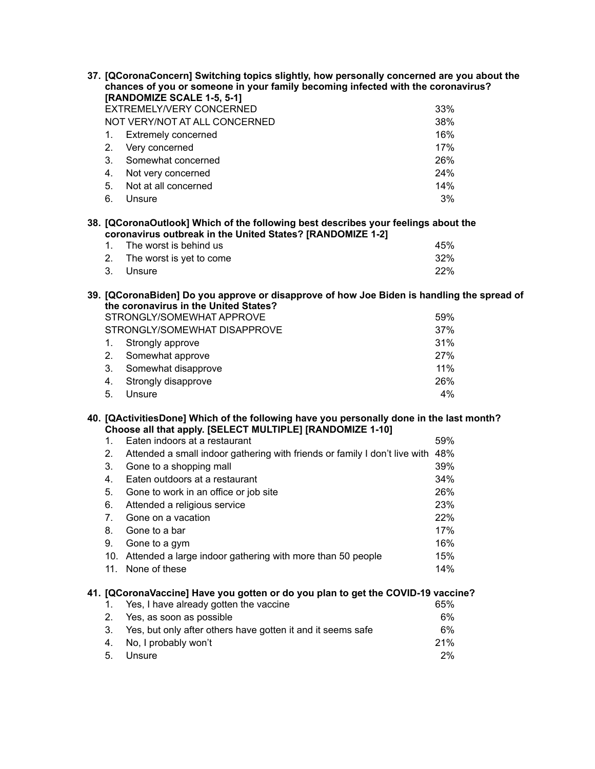| 37. [QCoronaConcern] Switching topics slightly, how personally concerned are you about the<br>chances of you or someone in your family becoming infected with the coronavirus?<br>[RANDOMIZE SCALE 1-5, 5-1] |                                                                                                                                                       |     |  |  |
|--------------------------------------------------------------------------------------------------------------------------------------------------------------------------------------------------------------|-------------------------------------------------------------------------------------------------------------------------------------------------------|-----|--|--|
|                                                                                                                                                                                                              | EXTREMELY/VERY CONCERNED                                                                                                                              | 33% |  |  |
|                                                                                                                                                                                                              | NOT VERY/NOT AT ALL CONCERNED                                                                                                                         | 38% |  |  |
| 1.                                                                                                                                                                                                           | <b>Extremely concerned</b>                                                                                                                            | 16% |  |  |
| 2.                                                                                                                                                                                                           | Very concerned                                                                                                                                        | 17% |  |  |
| 3.                                                                                                                                                                                                           | Somewhat concerned                                                                                                                                    | 26% |  |  |
| 4.                                                                                                                                                                                                           | Not very concerned                                                                                                                                    | 24% |  |  |
| 5.                                                                                                                                                                                                           | Not at all concerned                                                                                                                                  | 14% |  |  |
| 6.                                                                                                                                                                                                           | Unsure                                                                                                                                                | 3%  |  |  |
|                                                                                                                                                                                                              | 38. [QCoronaOutlook] Which of the following best describes your feelings about the<br>coronavirus outbreak in the United States? [RANDOMIZE 1-2]      |     |  |  |
| 1.                                                                                                                                                                                                           | The worst is behind us                                                                                                                                | 45% |  |  |
| 2.                                                                                                                                                                                                           | The worst is yet to come                                                                                                                              | 32% |  |  |
| 3.                                                                                                                                                                                                           | Unsure                                                                                                                                                | 22% |  |  |
|                                                                                                                                                                                                              | 39. [QCoronaBiden] Do you approve or disapprove of how Joe Biden is handling the spread of<br>the coronavirus in the United States?                   |     |  |  |
|                                                                                                                                                                                                              | STRONGLY/SOMEWHAT APPROVE                                                                                                                             | 59% |  |  |
|                                                                                                                                                                                                              | STRONGLY/SOMEWHAT DISAPPROVE                                                                                                                          | 37% |  |  |
| 1.                                                                                                                                                                                                           | Strongly approve                                                                                                                                      | 31% |  |  |
| 2.                                                                                                                                                                                                           | Somewhat approve                                                                                                                                      | 27% |  |  |
| 3.                                                                                                                                                                                                           | Somewhat disapprove                                                                                                                                   | 11% |  |  |
| 4.                                                                                                                                                                                                           | Strongly disapprove                                                                                                                                   | 26% |  |  |
| 5.                                                                                                                                                                                                           | Unsure                                                                                                                                                | 4%  |  |  |
|                                                                                                                                                                                                              | 40. [QActivitiesDone] Which of the following have you personally done in the last month?<br>Choose all that apply. [SELECT MULTIPLE] [RANDOMIZE 1-10] |     |  |  |
| $1_{-}$                                                                                                                                                                                                      | Eaten indoors at a restaurant                                                                                                                         | 59% |  |  |
| 2.                                                                                                                                                                                                           | Attended a small indoor gathering with friends or family I don't live with                                                                            | 48% |  |  |
| 3.                                                                                                                                                                                                           | Gone to a shopping mall                                                                                                                               | 39% |  |  |
| 4.                                                                                                                                                                                                           | Eaten outdoors at a restaurant                                                                                                                        | 34% |  |  |
| 5.                                                                                                                                                                                                           | Gone to work in an office or job site                                                                                                                 | 26% |  |  |
| 6.                                                                                                                                                                                                           | Attended a religious service                                                                                                                          | 23% |  |  |
| 7.                                                                                                                                                                                                           | Gone on a vacation                                                                                                                                    | 22% |  |  |
| 8.                                                                                                                                                                                                           | Gone to a bar                                                                                                                                         | 17% |  |  |
| 9.                                                                                                                                                                                                           | Gone to a gym                                                                                                                                         | 16% |  |  |
|                                                                                                                                                                                                              | 10. Attended a large indoor gathering with more than 50 people                                                                                        | 15% |  |  |
|                                                                                                                                                                                                              | 11. None of these                                                                                                                                     | 14% |  |  |
|                                                                                                                                                                                                              | 41. [QCoronaVaccine] Have you gotten or do you plan to get the COVID-19 vaccine?                                                                      |     |  |  |
| 1.                                                                                                                                                                                                           | Yes, I have already gotten the vaccine                                                                                                                | 65% |  |  |
| 2.                                                                                                                                                                                                           | Yes, as soon as possible                                                                                                                              | 6%  |  |  |
| 3.                                                                                                                                                                                                           | Yes, but only after others have gotten it and it seems safe                                                                                           | 6%  |  |  |
| 4.                                                                                                                                                                                                           | No, I probably won't                                                                                                                                  | 21% |  |  |

5. Unsure 2%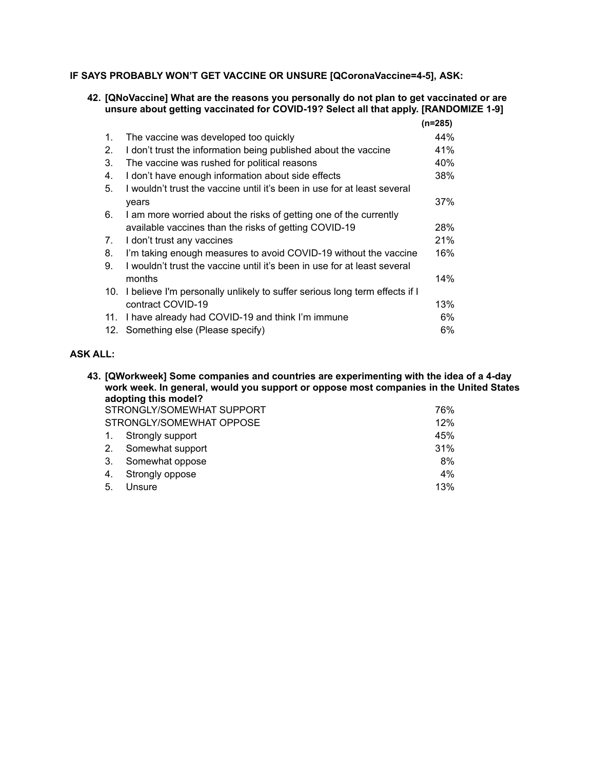# **IF SAYS PROBABLY WON'T GET VACCINE OR UNSURE [QCoronaVaccine=4-5], ASK:**

# **42. [QNoVaccine] What are the reasons you personally do not plan to get vaccinated or are unsure about getting vaccinated for COVID-19? Select all that apply. [RANDOMIZE 1-9]**

|                |                                                                            | (n=285) |
|----------------|----------------------------------------------------------------------------|---------|
| $\mathbf{1}$ . | The vaccine was developed too quickly                                      | 44%     |
| 2.             | I don't trust the information being published about the vaccine            | 41%     |
| 3.             | The vaccine was rushed for political reasons                               | 40%     |
| 4.             | I don't have enough information about side effects                         | 38%     |
| 5.             | I wouldn't trust the vaccine until it's been in use for at least several   |         |
|                | years                                                                      | 37%     |
| 6.             | I am more worried about the risks of getting one of the currently          |         |
|                | available vaccines than the risks of getting COVID-19                      | 28%     |
| 7.             | I don't trust any vaccines                                                 | 21%     |
| 8.             | I'm taking enough measures to avoid COVID-19 without the vaccine           | 16%     |
| 9.             | I wouldn't trust the vaccine until it's been in use for at least several   |         |
|                | months                                                                     | 14%     |
| 10.            | I believe I'm personally unlikely to suffer serious long term effects if I |         |
|                | contract COVID-19                                                          | 13%     |
| 11.            | I have already had COVID-19 and think I'm immune                           | 6%      |
|                | 12. Something else (Please specify)                                        | 6%      |

# **ASK ALL:**

**43. [QWorkweek] Some companies and countries are experimenting with the idea of a 4-day work week. In general, would you support or oppose most companies in the United States adopting this model?** STRONGLY/SOMEWHAT SUPPORT **76%** 76% STRONGLY/SOMEWHAT OPPOSE 12% 1. Strongly support 45% 2. Somewhat support 31% 3. Somewhat oppose 8% 4. Strongly oppose 4% 5. Unsure 13%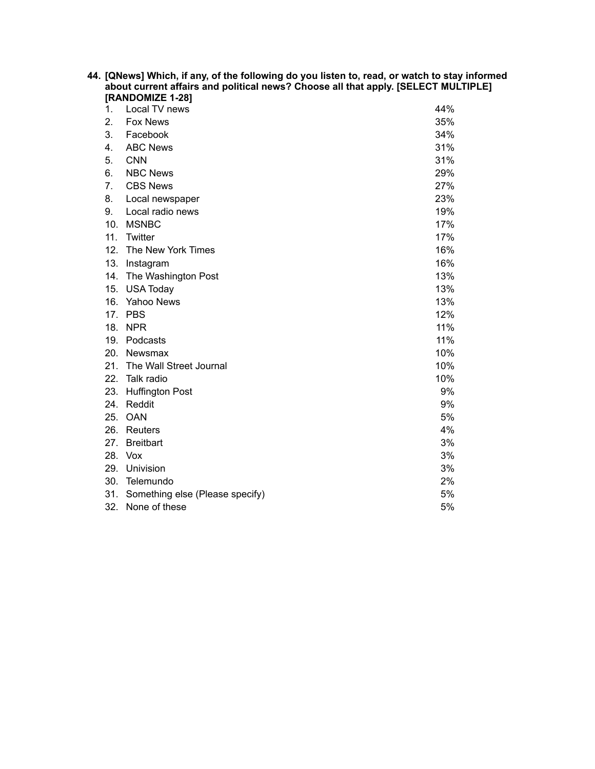| 44. [QNews] Which, if any, of the following do you listen to, read, or watch to stay informed<br>about current affairs and political news? Choose all that apply. [SELECT MULTIPLE]<br>[RANDOMIZE 1-28] |                                     |     |  |  |
|---------------------------------------------------------------------------------------------------------------------------------------------------------------------------------------------------------|-------------------------------------|-----|--|--|
| 1.                                                                                                                                                                                                      | Local TV news                       | 44% |  |  |
| 2.                                                                                                                                                                                                      | <b>Fox News</b>                     | 35% |  |  |
| 3.                                                                                                                                                                                                      | Facebook                            | 34% |  |  |
| 4.                                                                                                                                                                                                      | <b>ABC News</b>                     | 31% |  |  |
| 5.                                                                                                                                                                                                      | <b>CNN</b>                          | 31% |  |  |
| 6.                                                                                                                                                                                                      | <b>NBC News</b>                     | 29% |  |  |
| 7.                                                                                                                                                                                                      | <b>CBS News</b>                     | 27% |  |  |
| 8.                                                                                                                                                                                                      | Local newspaper                     | 23% |  |  |
| 9.                                                                                                                                                                                                      | Local radio news                    | 19% |  |  |
|                                                                                                                                                                                                         | 10. MSNBC                           | 17% |  |  |
|                                                                                                                                                                                                         | 11. Twitter                         | 17% |  |  |
|                                                                                                                                                                                                         | 12. The New York Times              | 16% |  |  |
|                                                                                                                                                                                                         | 13. Instagram                       | 16% |  |  |
|                                                                                                                                                                                                         | 14. The Washington Post             | 13% |  |  |
| 15.                                                                                                                                                                                                     | <b>USA Today</b>                    | 13% |  |  |
|                                                                                                                                                                                                         | 16. Yahoo News                      | 13% |  |  |
|                                                                                                                                                                                                         | 17. PBS                             | 12% |  |  |
|                                                                                                                                                                                                         | 18. NPR                             | 11% |  |  |
|                                                                                                                                                                                                         | 19. Podcasts                        | 11% |  |  |
|                                                                                                                                                                                                         | 20. Newsmax                         | 10% |  |  |
|                                                                                                                                                                                                         | 21. The Wall Street Journal         | 10% |  |  |
|                                                                                                                                                                                                         | 22. Talk radio                      | 10% |  |  |
|                                                                                                                                                                                                         | 23. Huffington Post                 | 9%  |  |  |
|                                                                                                                                                                                                         | 24. Reddit                          | 9%  |  |  |
|                                                                                                                                                                                                         | 25. OAN                             | 5%  |  |  |
|                                                                                                                                                                                                         | 26. Reuters                         | 4%  |  |  |
|                                                                                                                                                                                                         | 27. Breitbart                       | 3%  |  |  |
|                                                                                                                                                                                                         | 28. Vox                             | 3%  |  |  |
|                                                                                                                                                                                                         | 29. Univision                       | 3%  |  |  |
|                                                                                                                                                                                                         | 30. Telemundo                       | 2%  |  |  |
|                                                                                                                                                                                                         | 31. Something else (Please specify) | 5%  |  |  |
|                                                                                                                                                                                                         | 32. None of these                   | 5%  |  |  |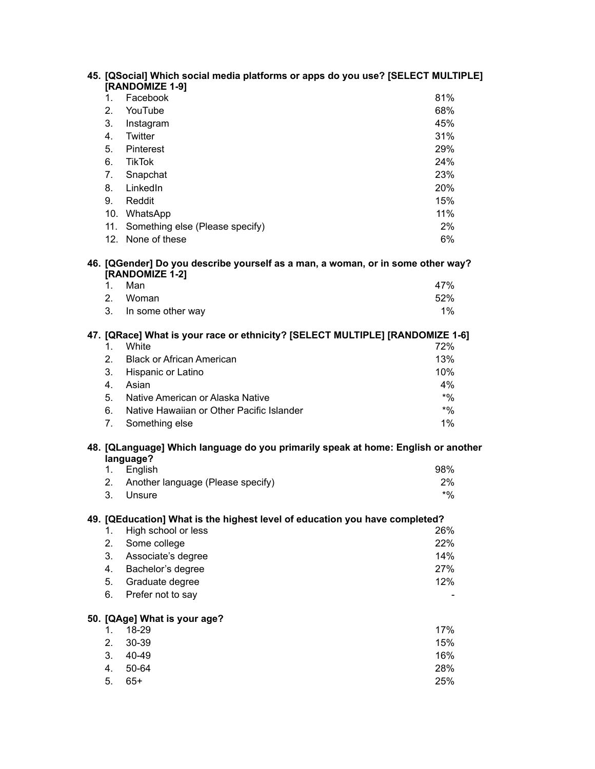|          | 45. [QSocial] Which social media platforms or apps do you use? [SELECT MULTIPLE]                   |              |
|----------|----------------------------------------------------------------------------------------------------|--------------|
|          | [RANDOMIZE 1-9]                                                                                    |              |
| 1.       | Facebook                                                                                           | 81%          |
| 2.       | YouTube                                                                                            | 68%          |
| 3.       | Instagram                                                                                          | 45%          |
| 4.       | Twitter                                                                                            | 31%          |
| 5.       | Pinterest                                                                                          | 29%          |
| 6.       | <b>TikTok</b>                                                                                      | 24%          |
| 7.       | Snapchat                                                                                           | 23%          |
| 8.       | LinkedIn                                                                                           | 20%          |
| 9.       | Reddit                                                                                             | 15%          |
|          | 10. WhatsApp                                                                                       | 11%          |
| 11.      | Something else (Please specify)                                                                    | 2%           |
|          | 12. None of these                                                                                  | 6%           |
|          | 46. [QGender] Do you describe yourself as a man, a woman, or in some other way?<br>[RANDOMIZE 1-2] |              |
| 1.       | Man                                                                                                | 47%          |
| 2.       | Woman                                                                                              | 52%          |
| 3.       | In some other way                                                                                  | 1%           |
| 1.       | 47. [QRace] What is your race or ethnicity? [SELECT MULTIPLE] [RANDOMIZE 1-6]<br>White             | 72%          |
| 2.       | <b>Black or African American</b>                                                                   | 13%          |
| 3.       | Hispanic or Latino                                                                                 | 10%          |
| 4.       | Asian                                                                                              | 4%           |
| 5.       | Native American or Alaska Native                                                                   | $*9/0$       |
| 6.       | Native Hawaiian or Other Pacific Islander                                                          | $*9/6$       |
| 7.       | Something else                                                                                     | 1%           |
|          | 48. [QLanguage] Which language do you primarily speak at home: English or another                  |              |
|          | language?                                                                                          | 98%          |
| 1.       | English                                                                                            |              |
| 2.<br>3. | Another language (Please specify)<br>Unsure                                                        | 2%<br>$*9/6$ |
|          |                                                                                                    |              |
|          | 49. [QEducation] What is the highest level of education you have completed?                        |              |
| 1.       | High school or less                                                                                | 26%          |
| 2.       | Some college                                                                                       | 22%          |
| 3.       | Associate's degree                                                                                 | 14%          |
| 4.       | Bachelor's degree                                                                                  | 27%          |
| 5.       | Graduate degree                                                                                    | 12%          |
| 6.       | Prefer not to say                                                                                  |              |
|          | 50. [QAge] What is your age?                                                                       |              |
| 1.       | 18-29                                                                                              | 17%          |
| 2.       | 30-39                                                                                              | 15%          |
| 3.       | 40-49                                                                                              | 16%          |
| 4.       | 50-64                                                                                              | 28%          |
| 5.       | $65+$                                                                                              | 25%          |
|          |                                                                                                    |              |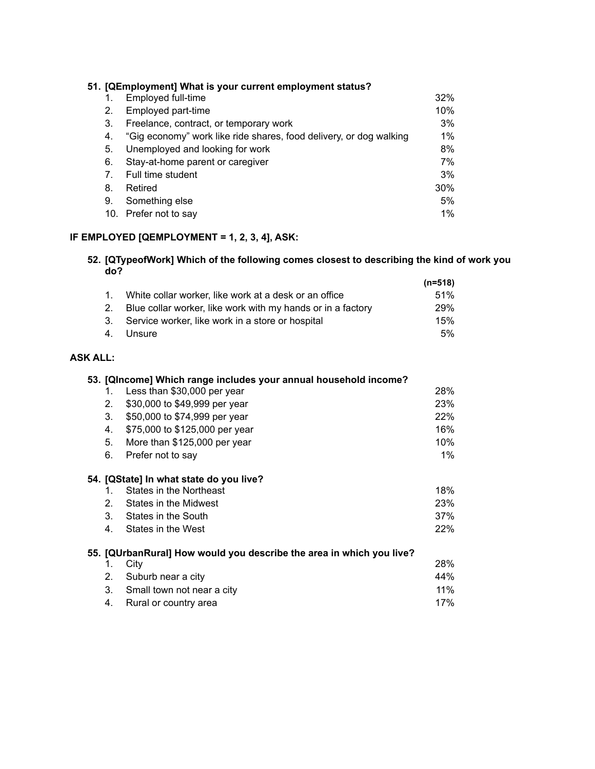|     | 51. [QEmployment] What is your current employment status?          |       |
|-----|--------------------------------------------------------------------|-------|
|     | Employed full-time                                                 | 32%   |
| 2.  | Employed part-time                                                 | 10%   |
| 3.  | Freelance, contract, or temporary work                             | 3%    |
| 4.  | "Gig economy" work like ride shares, food delivery, or dog walking | $1\%$ |
| 5.  | Unemployed and looking for work                                    | 8%    |
| 6.  | Stay-at-home parent or caregiver                                   | 7%    |
| 7.  | Full time student                                                  | 3%    |
| 8.  | Retired                                                            | 30%   |
| 9.  | Something else                                                     | 5%    |
| 10. | Prefer not to say                                                  | 1%    |

# **IF EMPLOYED [QEMPLOYMENT = 1, 2, 3, 4], ASK:**

#### **52. [QTypeofWork] Which of the following comes closest to describing the kind of work you do? (n=518)**

|                                                                | (n=518)    |
|----------------------------------------------------------------|------------|
| 1. White collar worker, like work at a desk or an office       | 51%        |
| 2. Blue collar worker, like work with my hands or in a factory | <b>29%</b> |
| 3. Service worker, like work in a store or hospital            | 15%        |
| 4. Unsure                                                      | 5%         |

# **ASK ALL:**

|             | 53. [QIncome] Which range includes your annual household income?     |       |
|-------------|----------------------------------------------------------------------|-------|
| 1.          | Less than \$30,000 per year                                          | 28%   |
| 2.          | \$30,000 to \$49,999 per year                                        | 23%   |
| 3.          | \$50,000 to \$74,999 per year                                        | 22%   |
| 4.          | \$75,000 to \$125,000 per year                                       | 16%   |
| 5.          | More than \$125,000 per year                                         | 10%   |
| 6.          | Prefer not to say                                                    | $1\%$ |
|             | 54. [QState] In what state do you live?                              |       |
| 1.          | States in the Northeast                                              | 18%   |
| 2.          | States in the Midwest                                                | 23%   |
| 3.          | States in the South                                                  | 37%   |
| 4.          | States in the West                                                   | 22%   |
|             | 55. [QUrbanRural] How would you describe the area in which you live? |       |
| 1.          | City                                                                 | 28%   |
| $2_{\cdot}$ | Suburb near a city                                                   | 44%   |
| 3.          | Small town not near a city                                           | 11%   |
| 4.          | Rural or country area                                                | 17%   |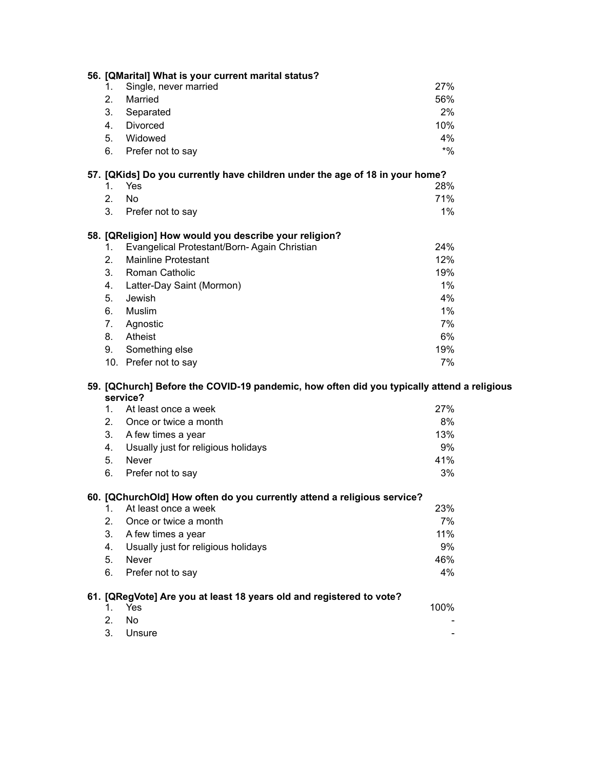|                                                                                                        |    | 56. [QMarital] What is your current marital status?                          |        |  |
|--------------------------------------------------------------------------------------------------------|----|------------------------------------------------------------------------------|--------|--|
|                                                                                                        | 1. | Single, never married                                                        | 27%    |  |
|                                                                                                        | 2. | Married                                                                      | 56%    |  |
|                                                                                                        | 3. | Separated                                                                    | 2%     |  |
|                                                                                                        | 4. | Divorced                                                                     | 10%    |  |
|                                                                                                        | 5. | Widowed                                                                      | 4%     |  |
|                                                                                                        | 6. | Prefer not to say                                                            | $*9/0$ |  |
|                                                                                                        |    | 57. [QKids] Do you currently have children under the age of 18 in your home? |        |  |
|                                                                                                        | 1. | Yes                                                                          | 28%    |  |
|                                                                                                        | 2. | <b>No</b>                                                                    | 71%    |  |
|                                                                                                        | 3. | Prefer not to say                                                            | 1%     |  |
|                                                                                                        |    | 58. [QReligion] How would you describe your religion?                        |        |  |
|                                                                                                        | 1. | Evangelical Protestant/Born-Again Christian                                  | 24%    |  |
|                                                                                                        | 2. | <b>Mainline Protestant</b>                                                   | 12%    |  |
|                                                                                                        | 3. | Roman Catholic                                                               | 19%    |  |
|                                                                                                        | 4. | Latter-Day Saint (Mormon)                                                    | 1%     |  |
|                                                                                                        | 5. | Jewish                                                                       | 4%     |  |
|                                                                                                        | 6. | Muslim                                                                       | $1\%$  |  |
|                                                                                                        | 7. | Agnostic                                                                     | 7%     |  |
|                                                                                                        | 8. | Atheist                                                                      | 6%     |  |
|                                                                                                        | 9. | Something else                                                               | 19%    |  |
|                                                                                                        |    | 10. Prefer not to say                                                        | 7%     |  |
| 59. [QChurch] Before the COVID-19 pandemic, how often did you typically attend a religious<br>service? |    |                                                                              |        |  |
|                                                                                                        | 1. | At least once a week                                                         | 27%    |  |
|                                                                                                        | 2. | Once or twice a month                                                        | 8%     |  |
|                                                                                                        | 3. | A few times a year                                                           | 13%    |  |
|                                                                                                        | 4. | Usually just for religious holidays                                          | 9%     |  |
|                                                                                                        | 5. | Never                                                                        | 41%    |  |
|                                                                                                        | 6. | Prefer not to say                                                            | 3%     |  |
|                                                                                                        |    | 60. [QChurchOld] How often do you currently attend a religious service?      |        |  |
|                                                                                                        | 1. | At least once a week                                                         | 23%    |  |
|                                                                                                        | 2. | Once or twice a month                                                        | 7%     |  |
|                                                                                                        | 3. | A few times a year                                                           | 11%    |  |
|                                                                                                        |    | Usually just for religious holidays                                          | 9%     |  |
|                                                                                                        | 4. |                                                                              |        |  |
|                                                                                                        | 5. |                                                                              | 46%    |  |
|                                                                                                        | 6. | Never<br>Prefer not to say                                                   | 4%     |  |
|                                                                                                        |    | 61. [QRegVote] Are you at least 18 years old and registered to vote?         |        |  |
|                                                                                                        | 1. | Yes                                                                          | 100%   |  |
|                                                                                                        | 2. | <b>No</b><br>Unsure                                                          |        |  |